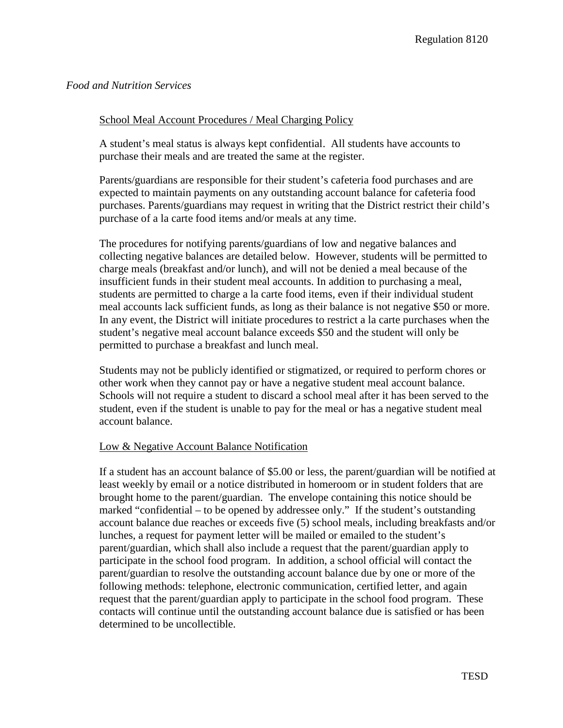# *Food and Nutrition Services*

#### School Meal Account Procedures / Meal Charging Policy

A student's meal status is always kept confidential. All students have accounts to purchase their meals and are treated the same at the register.

Parents/guardians are responsible for their student's cafeteria food purchases and are expected to maintain payments on any outstanding account balance for cafeteria food purchases. Parents/guardians may request in writing that the District restrict their child's purchase of a la carte food items and/or meals at any time.

The procedures for notifying parents/guardians of low and negative balances and collecting negative balances are detailed below. However, students will be permitted to charge meals (breakfast and/or lunch), and will not be denied a meal because of the insufficient funds in their student meal accounts. In addition to purchasing a meal, students are permitted to charge a la carte food items, even if their individual student meal accounts lack sufficient funds, as long as their balance is not negative \$50 or more. In any event, the District will initiate procedures to restrict a la carte purchases when the student's negative meal account balance exceeds \$50 and the student will only be permitted to purchase a breakfast and lunch meal.

Students may not be publicly identified or stigmatized, or required to perform chores or other work when they cannot pay or have a negative student meal account balance. Schools will not require a student to discard a school meal after it has been served to the student, even if the student is unable to pay for the meal or has a negative student meal account balance.

#### Low & Negative Account Balance Notification

If a student has an account balance of \$5.00 or less, the parent/guardian will be notified at least weekly by email or a notice distributed in homeroom or in student folders that are brought home to the parent/guardian. The envelope containing this notice should be marked "confidential – to be opened by addressee only." If the student's outstanding account balance due reaches or exceeds five (5) school meals, including breakfasts and/or lunches, a request for payment letter will be mailed or emailed to the student's parent/guardian, which shall also include a request that the parent/guardian apply to participate in the school food program. In addition, a school official will contact the parent/guardian to resolve the outstanding account balance due by one or more of the following methods: telephone, electronic communication, certified letter, and again request that the parent/guardian apply to participate in the school food program. These contacts will continue until the outstanding account balance due is satisfied or has been determined to be uncollectible.